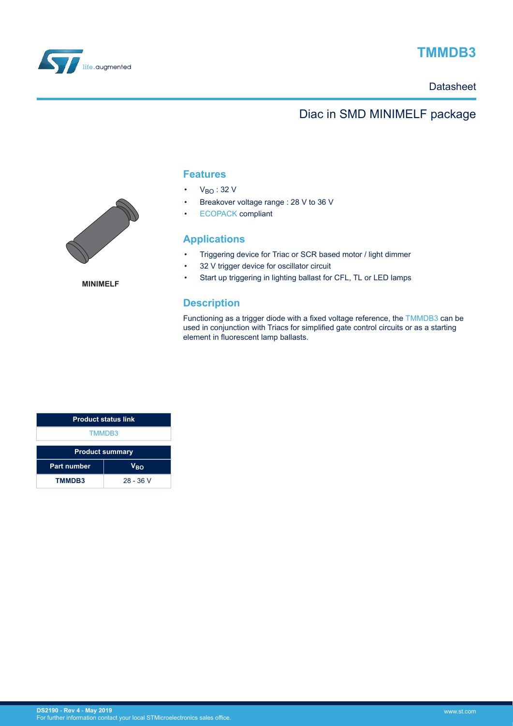

# **TMMDB3**

### **Datasheet**

## Diac in SMD MINIMELF package

### **Features**

- $\cdot$  V<sub>BO</sub>: 32 V
- Breakover voltage range : 28 V to 36 V
- [ECOPACK](https://www.st.com/ecopack) compliant

### **Applications**

- Triggering device for Triac or SCR based motor / light dimmer
- 32 V trigger device for oscillator circuit
- Start up triggering in lighting ballast for CFL, TL or LED lamps

### **Description**

Functioning as a trigger diode with a fixed voltage reference, the [TMMDB3](https://www.st.com/en/product/tmmdb3) can be used in conjunction with Triacs for simplified gate control circuits or as a starting element in fluorescent lamp ballasts.

| <b>Product status link</b>            |           |  |
|---------------------------------------|-----------|--|
| <b>TMMDB3</b>                         |           |  |
| <b>Product summary</b>                |           |  |
| <b>Part number</b><br>V <sub>BO</sub> |           |  |
| <b>TMMDB3</b>                         | 28 - 36 V |  |



**MINIMELF**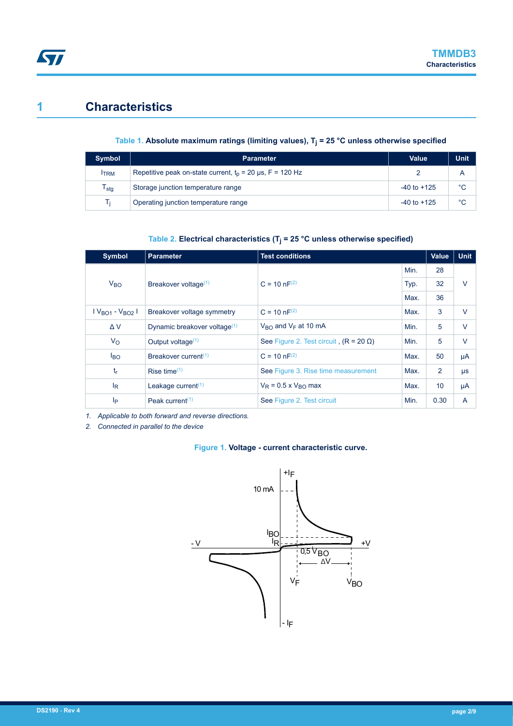### **1 Characteristics**

**ST** 

### **Table 1. Absolute maximum ratings (limiting values), T<sup>j</sup> = 25 °C unless otherwise specified**

| Symbol                      | <b>Parameter</b>                                            | Value           | <b>Unit</b> |
|-----------------------------|-------------------------------------------------------------|-----------------|-------------|
| <b>ITRM</b>                 | Repetitive peak on-state current, $t_0$ = 20 µs, F = 120 Hz |                 | А           |
| $\mathsf{T}_{\textsf{stg}}$ | Storage junction temperature range                          | $-40$ to $+125$ | °C          |
| Tı                          | Operating junction temperature range<br>$-40$ to $+125$     |                 | °C          |

#### **Table 2. Electrical characteristics (T<sup>j</sup> = 25 °C unless otherwise specified)**

| <b>Symbol</b>   | <b>Parameter</b>                         | <b>Test conditions</b>                        |      | <b>Value</b> | <b>Unit</b> |
|-----------------|------------------------------------------|-----------------------------------------------|------|--------------|-------------|
|                 |                                          |                                               |      | 28           |             |
| V <sub>BO</sub> | Breakover voltage <sup>(1)</sup>         | $C = 10 nF^{(2)}$                             | Typ. | 32           | $\vee$      |
|                 |                                          |                                               |      | 36           |             |
| $VBO1 - VBO2$   | Breakover voltage symmetry               | $C = 10 nF^{(2)}$                             | Max. | 3            | $\vee$      |
| $\Delta V$      | Dynamic breakover voltage <sup>(1)</sup> | $V_{\text{RO}}$ and $V_{\text{F}}$ at 10 mA   | Min. | 5            | $\vee$      |
| $V_{\rm O}$     | Output voltage <sup>(1)</sup>            | See Figure 2. Test circuit, $(R = 20 \Omega)$ | Min. | 5            | $\vee$      |
| <b>BO</b>       | Breakover current <sup>(1)</sup>         | $C = 10 nF^{(2)}$                             | Max. | 50           | μA          |
| $t_{r}$         | Rise time $(1)$                          | See Figure 3. Rise time measurement           | Max. | 2            | $\mu s$     |
| $I_R$           | Leakage current <sup>(1)</sup>           | $V_R$ = 0.5 x $V_{RO}$ max                    | Max. | 10           | μA          |
| Ip              | Peak current <sup><math>(1)</math></sup> | See Figure 2. Test circuit                    | Min. | 0.30         | A           |

*1. Applicable to both forward and reverse directions.*

*2. Connected in parallel to the device*

#### **Figure 1. Voltage - current characteristic curve.**

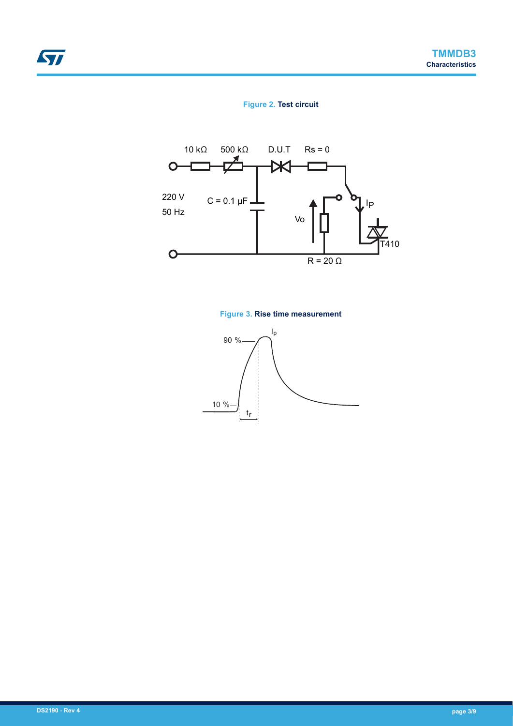### **Figure 2. Test circuit**



### **Figure 3. Rise time measurement**



<span id="page-2-0"></span>ST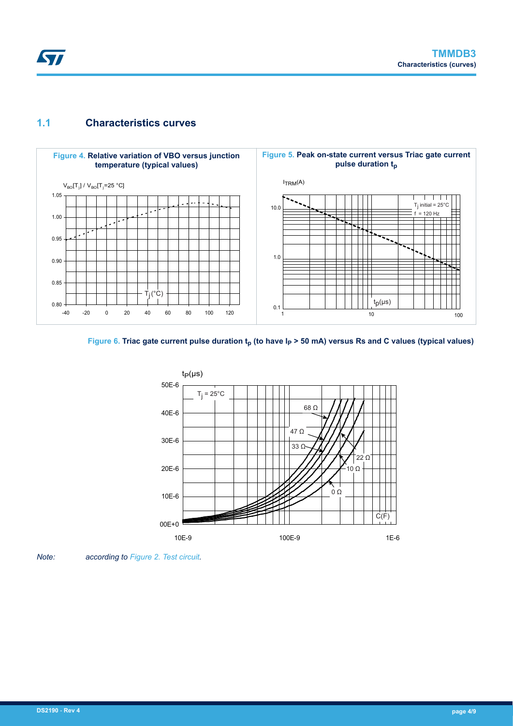

### **1.1 Characteristics curves**







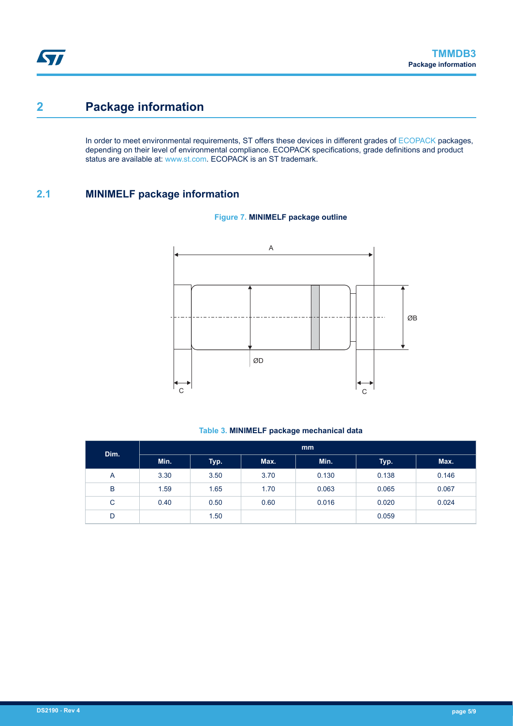## <span id="page-4-0"></span>**2 Package information**

In order to meet environmental requirements, ST offers these devices in different grades of [ECOPACK](https://www.st.com/ecopack) packages, depending on their level of environmental compliance. ECOPACK specifications, grade definitions and product status are available at: [www.st.com.](http://www.st.com) ECOPACK is an ST trademark.

### **2.1 MINIMELF package information**



#### **Figure 7. MINIMELF package outline**

#### **Table 3. MINIMELF package mechanical data**

| Dim. | mm   |      |      |       |       |       |
|------|------|------|------|-------|-------|-------|
|      | Min. | Typ. | Max. | Min.  | Typ.  | Max.  |
| A    | 3.30 | 3.50 | 3.70 | 0.130 | 0.138 | 0.146 |
| B    | 1.59 | 1.65 | 1.70 | 0.063 | 0.065 | 0.067 |
| C    | 0.40 | 0.50 | 0.60 | 0.016 | 0.020 | 0.024 |
| D    |      | 1.50 |      |       | 0.059 |       |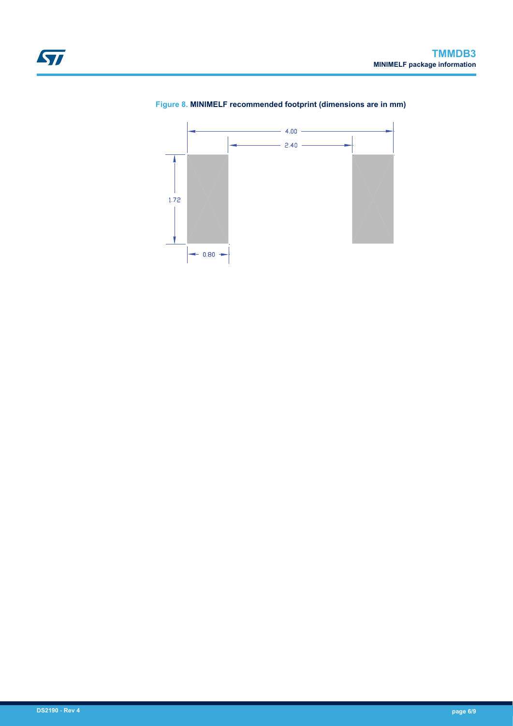

### <span id="page-5-0"></span>**Figure 8. MINIMELF recommended footprint (dimensions are in mm)**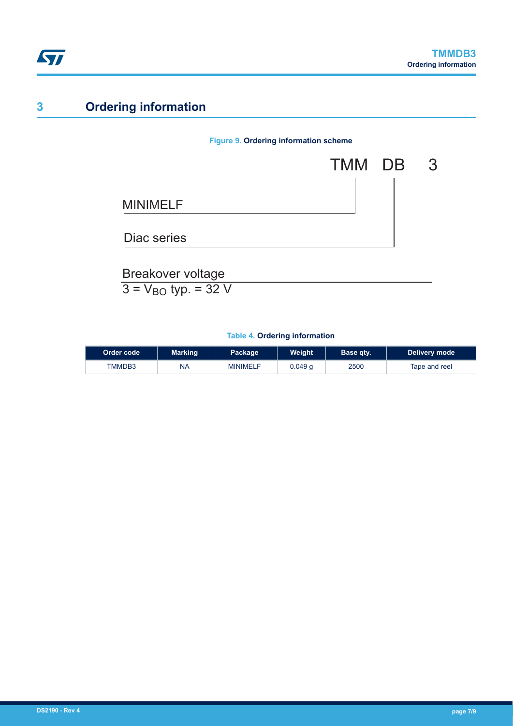

# **3 Ordering information**

### **Figure 9. Ordering information scheme**



### **Table 4. Ordering information**

| ∣Order code ∖ | Marking   | Package         | Weight  | Base qty. | Delivery mode |
|---------------|-----------|-----------------|---------|-----------|---------------|
| TMMDB3        | <b>NA</b> | <b>MINIMELF</b> | 0.049 a | 2500      | Tape and reel |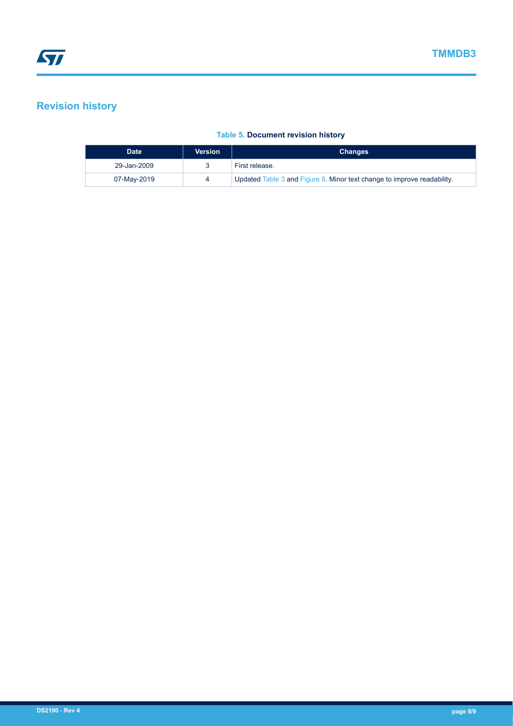## **Revision history**

### **Table 5. Document revision history**

| <b>Date</b> | <b>Version</b> | <b>Changes</b>                                                          |
|-------------|----------------|-------------------------------------------------------------------------|
| 29-Jan-2009 |                | First release.                                                          |
| 07-May-2019 |                | Updated Table 3 and Figure 8. Minor text change to improve readability. |